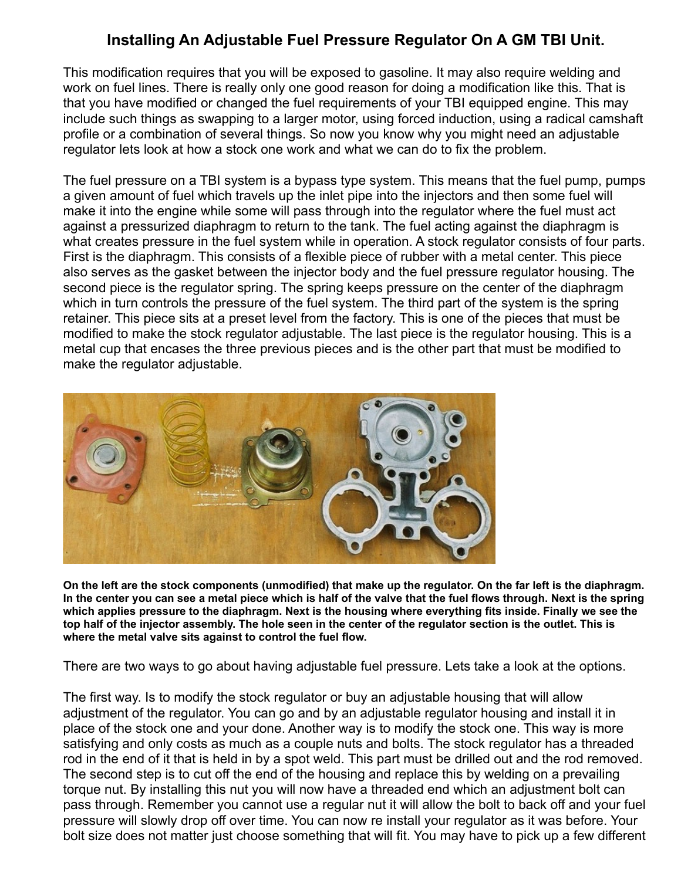## **Installing An Adjustable Fuel Pressure Regulator On A GM TBI Unit.**

This modification requires that you will be exposed to gasoline. It may also require welding and work on fuel lines. There is really only one good reason for doing a modification like this. That is that you have modified or changed the fuel requirements of your TBI equipped engine. This may include such things as swapping to a larger motor, using forced induction, using a radical camshaft profile or a combination of several things. So now you know why you might need an adjustable regulator lets look at how a stock one work and what we can do to fix the problem.

The fuel pressure on a TBI system is a bypass type system. This means that the fuel pump, pumps a given amount of fuel which travels up the inlet pipe into the injectors and then some fuel will make it into the engine while some will pass through into the regulator where the fuel must act against a pressurized diaphragm to return to the tank. The fuel acting against the diaphragm is what creates pressure in the fuel system while in operation. A stock regulator consists of four parts. First is the diaphragm. This consists of a flexible piece of rubber with a metal center. This piece also serves as the gasket between the injector body and the fuel pressure regulator housing. The second piece is the regulator spring. The spring keeps pressure on the center of the diaphragm which in turn controls the pressure of the fuel system. The third part of the system is the spring retainer. This piece sits at a preset level from the factory. This is one of the pieces that must be modified to make the stock regulator adjustable. The last piece is the regulator housing. This is a metal cup that encases the three previous pieces and is the other part that must be modified to make the regulator adjustable.



**On the left are the stock components (unmodified) that make up the regulator. On the far left is the diaphragm. In the center you can see a metal piece which is half of the valve that the fuel flows through. Next is the spring which applies pressure to the diaphragm. Next is the housing where everything fits inside. Finally we see the top half of the injector assembly. The hole seen in the center of the regulator section is the outlet. This is where the metal valve sits against to control the fuel flow.**

There are two ways to go about having adjustable fuel pressure. Lets take a look at the options.

The first way. Is to modify the stock regulator or buy an adjustable housing that will allow adjustment of the regulator. You can go and by an adjustable regulator housing and install it in place of the stock one and your done. Another way is to modify the stock one. This way is more satisfying and only costs as much as a couple nuts and bolts. The stock regulator has a threaded rod in the end of it that is held in by a spot weld. This part must be drilled out and the rod removed. The second step is to cut off the end of the housing and replace this by welding on a prevailing torque nut. By installing this nut you will now have a threaded end which an adjustment bolt can pass through. Remember you cannot use a regular nut it will allow the bolt to back off and your fuel pressure will slowly drop off over time. You can now re install your regulator as it was before. Your bolt size does not matter just choose something that will fit. You may have to pick up a few different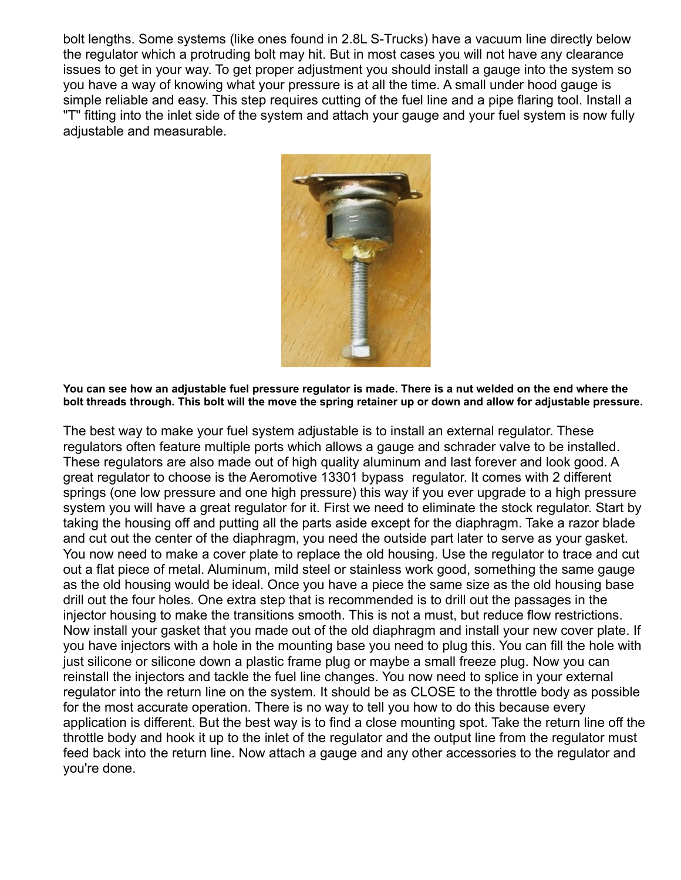bolt lengths. Some systems (like ones found in 2.8L S-Trucks) have a vacuum line directly below the regulator which a protruding bolt may hit. But in most cases you will not have any clearance issues to get in your way. To get proper adjustment you should install a gauge into the system so you have a way of knowing what your pressure is at all the time. A small under hood gauge is simple reliable and easy. This step requires cutting of the fuel line and a pipe flaring tool. Install a "T" fitting into the inlet side of the system and attach your gauge and your fuel system is now fully adjustable and measurable.



**You can see how an adjustable fuel pressure regulator is made. There is a nut welded on the end where the bolt threads through. This bolt will the move the spring retainer up or down and allow for adjustable pressure.**

The best way to make your fuel system adjustable is to install an external regulator. These regulators often feature multiple ports which allows a gauge and schrader valve to be installed. These regulators are also made out of high quality aluminum and last forever and look good. A great regulator to choose is the Aeromotive 13301 bypass regulator. It comes with 2 different springs (one low pressure and one high pressure) this way if you ever upgrade to a high pressure system you will have a great regulator for it. First we need to eliminate the stock regulator. Start by taking the housing off and putting all the parts aside except for the diaphragm. Take a razor blade and cut out the center of the diaphragm, you need the outside part later to serve as your gasket. You now need to make a cover plate to replace the old housing. Use the regulator to trace and cut out a flat piece of metal. Aluminum, mild steel or stainless work good, something the same gauge as the old housing would be ideal. Once you have a piece the same size as the old housing base drill out the four holes. One extra step that is recommended is to drill out the passages in the injector housing to make the transitions smooth. This is not a must, but reduce flow restrictions. Now install your gasket that you made out of the old diaphragm and install your new cover plate. If you have injectors with a hole in the mounting base you need to plug this. You can fill the hole with just silicone or silicone down a plastic frame plug or maybe a small freeze plug. Now you can reinstall the injectors and tackle the fuel line changes. You now need to splice in your external regulator into the return line on the system. It should be as CLOSE to the throttle body as possible for the most accurate operation. There is no way to tell you how to do this because every application is different. But the best way is to find a close mounting spot. Take the return line off the throttle body and hook it up to the inlet of the regulator and the output line from the regulator must feed back into the return line. Now attach a gauge and any other accessories to the regulator and you're done.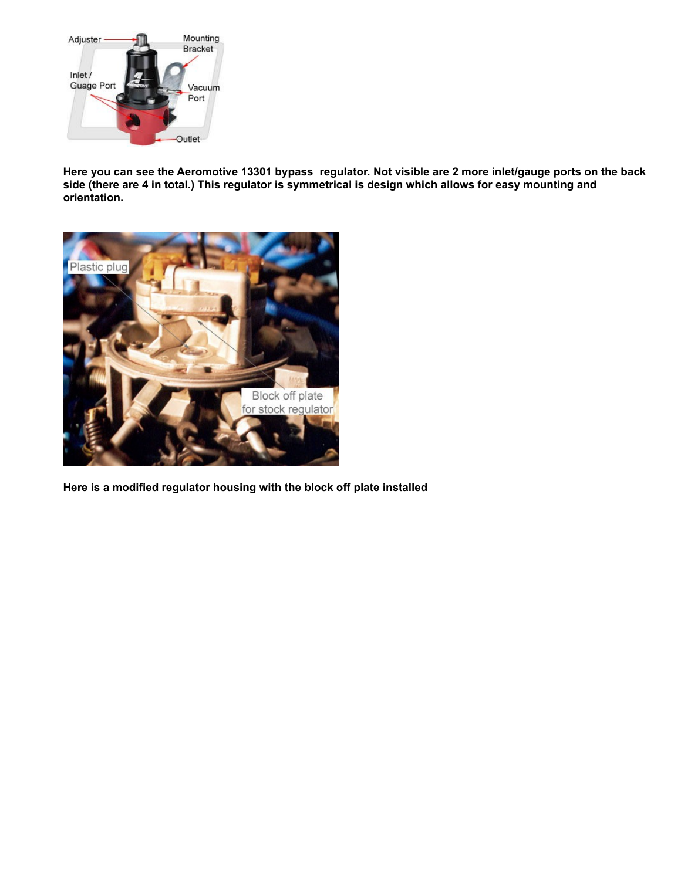

**Here you can see the Aeromotive 13301 bypass regulator. Not visible are 2 more inlet/gauge ports on the back side (there are 4 in total.) This regulator is symmetrical is design which allows for easy mounting and orientation.**



**Here is a modified regulator housing with the block off plate installed**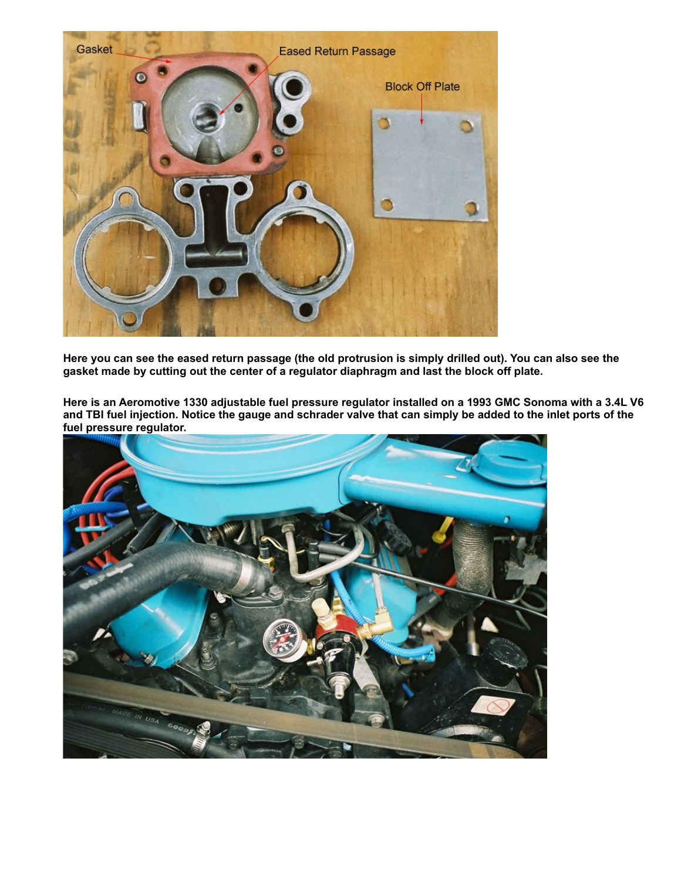

**Here you can see the eased return passage (the old protrusion is simply drilled out). You can also see the gasket made by cutting out the center of a regulator diaphragm and last the block off plate.**

**Here is an Aeromotive 1330 adjustable fuel pressure regulator installed on a 1993 GMC Sonoma with a 3.4L V6 and TBI fuel injection. Notice the gauge and schrader valve that can simply be added to the inlet ports of the fuel pressure regulator.**